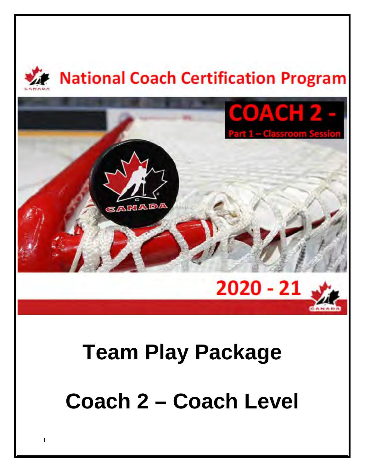

# **Team Play Package Coach 2 – Coach Level**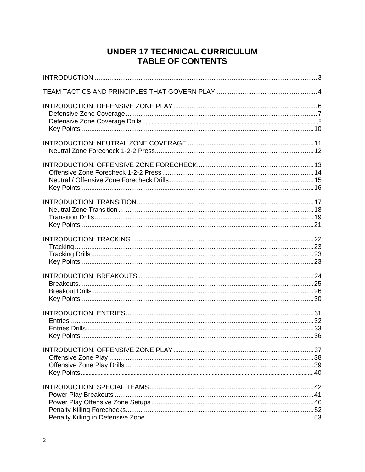## **UNDER 17 TECHNICAL CURRICULUM TABLE OF CONTENTS**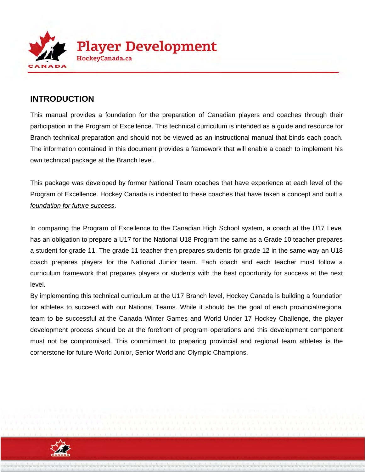

## **INTRODUCTION**

This manual provides a foundation for the preparation of Canadian players and coaches through their participation in the Program of Excellence. This technical curriculum is intended as a guide and resource for Branch technical preparation and should not be viewed as an instructional manual that binds each coach. The information contained in this document provides a framework that will enable a coach to implement his own technical package at the Branch level.

This package was developed by former National Team coaches that have experience at each level of the Program of Excellence. Hockey Canada is indebted to these coaches that have taken a concept and built a *foundation for future success*.

In comparing the Program of Excellence to the Canadian High School system, a coach at the U17 Level has an obligation to prepare a U17 for the National U18 Program the same as a Grade 10 teacher prepares a student for grade 11. The grade 11 teacher then prepares students for grade 12 in the same way an U18 coach prepares players for the National Junior team. Each coach and each teacher must follow a curriculum framework that prepares players or students with the best opportunity for success at the next level.

By implementing this technical curriculum at the U17 Branch level, Hockey Canada is building a foundation for athletes to succeed with our National Teams. While it should be the goal of each provincial/regional team to be successful at the Canada Winter Games and World Under 17 Hockey Challenge, the player development process should be at the forefront of program operations and this development component must not be compromised. This commitment to preparing provincial and regional team athletes is the cornerstone for future World Junior, Senior World and Olympic Champions.

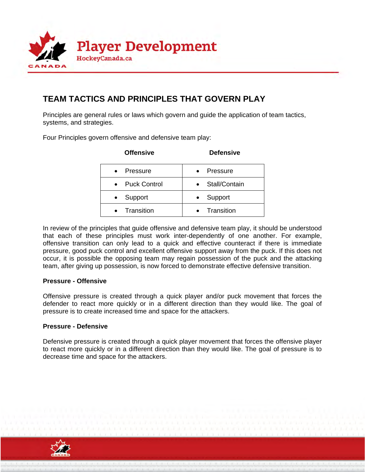

## **TEAM TACTICS AND PRINCIPLES THAT GOVERN PLAY**

Principles are general rules or laws which govern and guide the application of team tactics, systems, and strategies.

Four Principles govern offensive and defensive team play:

| <b>Offensive</b>      | <b>Defensive</b> |
|-----------------------|------------------|
| Pressure<br>$\bullet$ | Pressure         |
| <b>Puck Control</b>   | Stall/Contain    |
| Support<br>$\bullet$  | Support          |
| Transition            | Transition       |

In review of the principles that guide offensive and defensive team play, it should be understood that each of these principles must work inter-dependently of one another. For example, offensive transition can only lead to a quick and effective counteract if there is immediate pressure, good puck control and excellent offensive support away from the puck. If this does not occur, it is possible the opposing team may regain possession of the puck and the attacking team, after giving up possession, is now forced to demonstrate effective defensive transition.

#### **Pressure - Offensive**

Offensive pressure is created through a quick player and/or puck movement that forces the defender to react more quickly or in a different direction than they would like. The goal of pressure is to create increased time and space for the attackers.

#### **Pressure - Defensive**

Defensive pressure is created through a quick player movement that forces the offensive player to react more quickly or in a different direction than they would like. The goal of pressure is to decrease time and space for the attackers.

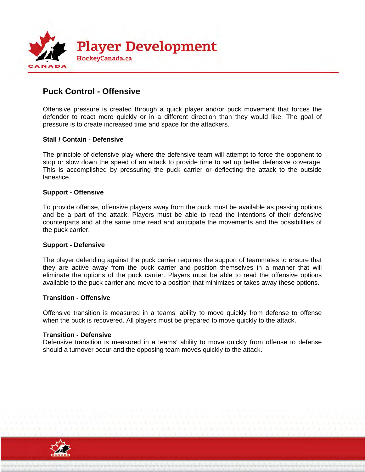

## **Puck Control - Offensive**

Offensive pressure is created through a quick player and/or puck movement that forces the defender to react more quickly or in a different direction than they would like. The goal of pressure is to create increased time and space for the attackers.

#### **Stall / Contain - Defensive**

The principle of defensive play where the defensive team will attempt to force the opponent to stop or slow down the speed of an attack to provide time to set up better defensive coverage. This is accomplished by pressuring the puck carrier or deflecting the attack to the outside lanes/ice.

#### **Support - Offensive**

To provide offense, offensive players away from the puck must be available as passing options and be a part of the attack. Players must be able to read the intentions of their defensive counterparts and at the same time read and anticipate the movements and the possibilities of the puck carrier.

#### **Support - Defensive**

The player defending against the puck carrier requires the support of teammates to ensure that they are active away from the puck carrier and position themselves in a manner that will eliminate the options of the puck carrier. Players must be able to read the offensive options available to the puck carrier and move to a position that minimizes or takes away these options.

#### **Transition - Offensive**

Offensive transition is measured in a teams' ability to move quickly from defense to offense when the puck is recovered. All players must be prepared to move quickly to the attack.

#### **Transition - Defensive**

Defensive transition is measured in a teams' ability to move quickly from offense to defense should a turnover occur and the opposing team moves quickly to the attack.

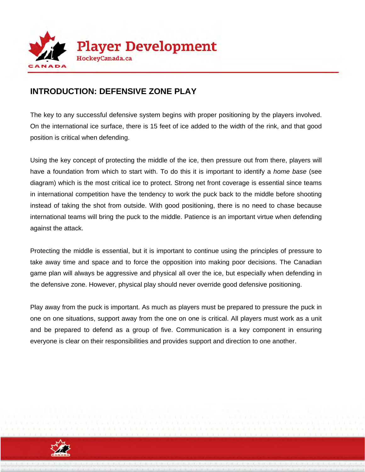

## **INTRODUCTION: DEFENSIVE ZONE PLAY**

The key to any successful defensive system begins with proper positioning by the players involved. On the international ice surface, there is 15 feet of ice added to the width of the rink, and that good position is critical when defending.

Using the key concept of protecting the middle of the ice, then pressure out from there, players will have a foundation from which to start with. To do this it is important to identify a *home base* (see diagram) which is the most critical ice to protect. Strong net front coverage is essential since teams in international competition have the tendency to work the puck back to the middle before shooting instead of taking the shot from outside. With good positioning, there is no need to chase because international teams will bring the puck to the middle. Patience is an important virtue when defending against the attack.

Protecting the middle is essential, but it is important to continue using the principles of pressure to take away time and space and to force the opposition into making poor decisions. The Canadian game plan will always be aggressive and physical all over the ice, but especially when defending in the defensive zone. However, physical play should never override good defensive positioning.

Play away from the puck is important. As much as players must be prepared to pressure the puck in one on one situations, support away from the one on one is critical. All players must work as a unit and be prepared to defend as a group of five. Communication is a key component in ensuring everyone is clear on their responsibilities and provides support and direction to one another.

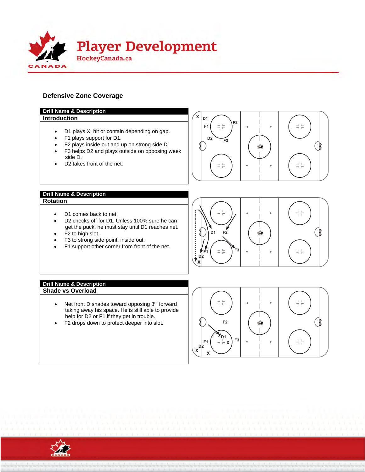

#### **Defensive Zone Coverage**



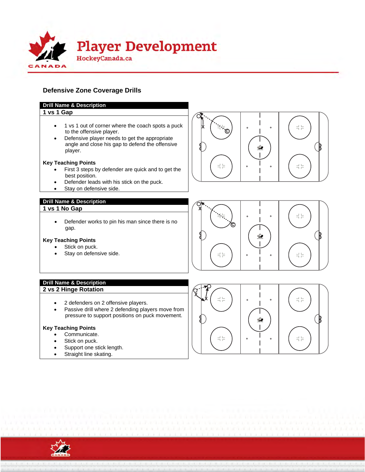

#### **Defensive Zone Coverage Drills**

#### **Drill Name & Description**

#### **1 vs 1 Gap**

- 1 vs 1 out of corner where the coach spots a puck to the offensive player.
- Defensive player needs to get the appropriate angle and close his gap to defend the offensive player.

#### **Key Teaching Points**

- First 3 steps by defender are quick and to get the best position.
- Defender leads with his stick on the puck.
- Stay on defensive side.

#### **Drill Name & Description**

#### **1 vs 1 No Gap**

• Defender works to pin his man since there is no gap.

#### **Key Teaching Points**

- Stick on puck.
- Stay on defensive side.

## ĉ ÷. 루는



- 2 defenders on 2 offensive players.
- Passive drill where 2 defending players move from pressure to support positions on puck movement.

#### **Key Teaching Points**

- Communicate.
- Stick on puck.
- Support one stick length.
- Straight line skating.







 $\frac{1}{1}$  $\frac{1}{1}$ 

 $\frac{1}{1}$   $\frac{1}{1}$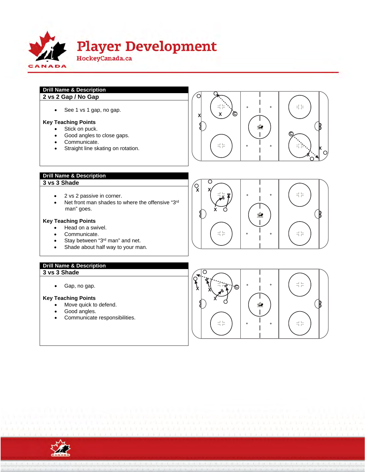

#### **Drill Name & Description 2 vs 2 Gap / No Gap**

• See 1 vs 1 gap, no gap.

#### **Key Teaching Points**

- Stick on puck.
- Good angles to close gaps.
- Communicate.
- Straight line skating on rotation.



#### **Drill Name & Description**

#### **3 vs 3 Shade**

- 2 vs 2 passive in corner.
- Net front man shades to where the offensive "3rd man" goes.

#### **Key Teaching Points**

- Head on a swivel.
- Communicate.
- Stay between "3<sup>rd</sup> man" and net.
- Shade about half way to your man.

## **Drill Name & Description**

**3 vs 3 Shade** 

Gap, no gap.

#### **Key Teaching Points**

- Move quick to defend.
- Good angles.
- Communicate responsibilities.





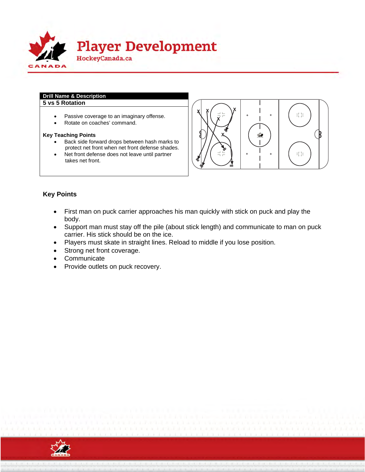

#### **Drill Name & Description 5 vs 5 Rotation**

- Passive coverage to an imaginary offense.
- Rotate on coaches' command.

#### **Key Teaching Points**

- Back side forward drops between hash marks to protect net front when net front defense shades.
- Net front defense does not leave until partner takes net front.



#### **Key Points**

- First man on puck carrier approaches his man quickly with stick on puck and play the body.
- Support man must stay off the pile (about stick length) and communicate to man on puck carrier. His stick should be on the ice.
- Players must skate in straight lines. Reload to middle if you lose position.
- Strong net front coverage.
- Communicate
- Provide outlets on puck recovery.

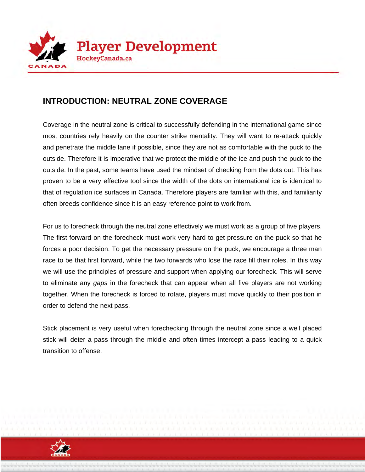

## **INTRODUCTION: NEUTRAL ZONE COVERAGE**

Coverage in the neutral zone is critical to successfully defending in the international game since most countries rely heavily on the counter strike mentality. They will want to re-attack quickly and penetrate the middle lane if possible, since they are not as comfortable with the puck to the outside. Therefore it is imperative that we protect the middle of the ice and push the puck to the outside. In the past, some teams have used the mindset of checking from the dots out. This has proven to be a very effective tool since the width of the dots on international ice is identical to that of regulation ice surfaces in Canada. Therefore players are familiar with this, and familiarity often breeds confidence since it is an easy reference point to work from.

For us to forecheck through the neutral zone effectively we must work as a group of five players. The first forward on the forecheck must work very hard to get pressure on the puck so that he forces a poor decision. To get the necessary pressure on the puck, we encourage a three man race to be that first forward, while the two forwards who lose the race fill their roles. In this way we will use the principles of pressure and support when applying our forecheck. This will serve to eliminate any *gaps* in the forecheck that can appear when all five players are not working together. When the forecheck is forced to rotate, players must move quickly to their position in order to defend the next pass.

Stick placement is very useful when forechecking through the neutral zone since a well placed stick will deter a pass through the middle and often times intercept a pass leading to a quick transition to offense.

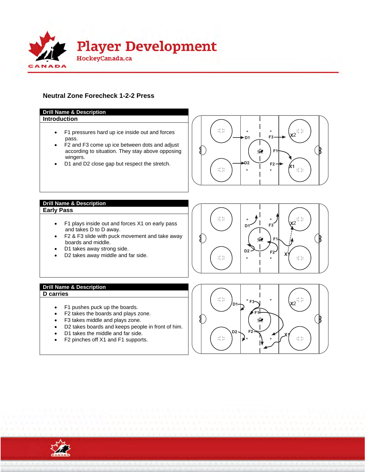

#### **Neutral Zone Forecheck 1-2-2 Press**



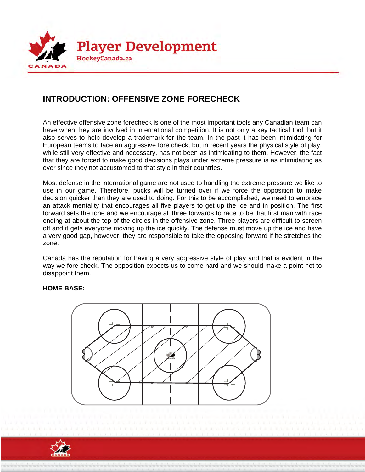

## **INTRODUCTION: OFFENSIVE ZONE FORECHECK**

An effective offensive zone forecheck is one of the most important tools any Canadian team can have when they are involved in international competition. It is not only a key tactical tool, but it also serves to help develop a trademark for the team. In the past it has been intimidating for European teams to face an aggressive fore check, but in recent years the physical style of play, while still very effective and necessary, has not been as intimidating to them. However, the fact that they are forced to make good decisions plays under extreme pressure is as intimidating as ever since they not accustomed to that style in their countries.

Most defense in the international game are not used to handling the extreme pressure we like to use in our game. Therefore, pucks will be turned over if we force the opposition to make decision quicker than they are used to doing. For this to be accomplished, we need to embrace an attack mentality that encourages all five players to get up the ice and in position. The first forward sets the tone and we encourage all three forwards to race to be that first man with race ending at about the top of the circles in the offensive zone. Three players are difficult to screen off and it gets everyone moving up the ice quickly. The defense must move up the ice and have a very good gap, however, they are responsible to take the opposing forward if he stretches the zone.

Canada has the reputation for having a very aggressive style of play and that is evident in the way we fore check. The opposition expects us to come hard and we should make a point not to disappoint them.

#### **HOME BASE:**



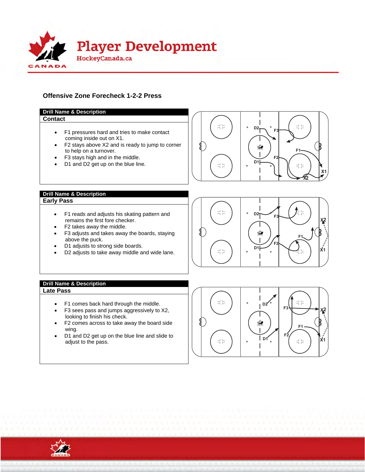

#### **Offensive Zone Forecheck 1-2-2 Press**



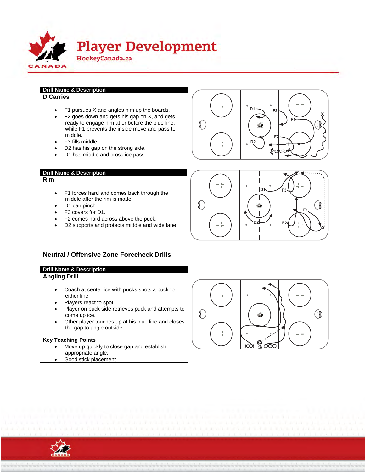

#### **Drill Name & Description D Carries**

- F1 pursues X and angles him up the boards.
- $\bullet$  F2 goes down and gets his gap on X, and gets ready to engage him at or before the blue line, while F1 prevents the inside move and pass to middle.
- F3 fills middle.
- D2 has his gap on the strong side.
- D1 has middle and cross ice pass.

#### **Drill Name & Description**

#### **Rim**

- F1 forces hard and comes back through the middle after the rim is made.
- D1 can pinch.
- F3 covers for D1.
- F2 comes hard across above the puck.
- D2 supports and protects middle and wide lane.



#### **Drill Name & Description Angling Drill**

- Coach at center ice with pucks spots a puck to either line.
- Players react to spot.
- Player on puck side retrieves puck and attempts to come up ice.
- Other player touches up at his blue line and closes the gap to angle outside.

#### **Key Teaching Points**

- Move up quickly to close gap and establish appropriate angle.
- Good stick placement.







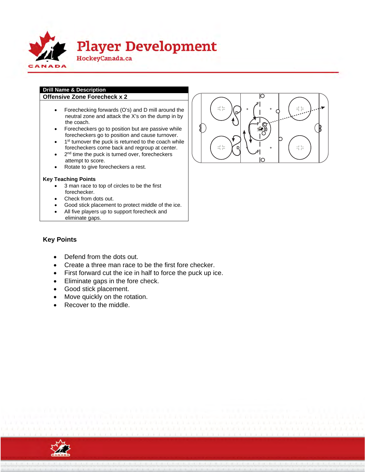

## **Drill Name & Description**

- **Offensive Zone Forecheck x 2** 
	- Forechecking forwards (O's) and D mill around the neutral zone and attack the X's on the dump in by the coach.
	- Forecheckers go to position but are passive while forecheckers go to position and cause turnover.
	- 1<sup>st</sup> turnover the puck is returned to the coach while forecheckers come back and regroup at center.
	- 2<sup>nd</sup> time the puck is turned over, forecheckers attempt to score.
	- Rotate to give forecheckers a rest.

#### **Key Teaching Points**

- 3 man race to top of circles to be the first forechecker.
- Check from dots out.
- Good stick placement to protect middle of the ice.
- All five players up to support forecheck and
- eliminate gaps.



#### **Key Points**

- Defend from the dots out.
- Create a three man race to be the first fore checker.
- First forward cut the ice in half to force the puck up ice.
- Eliminate gaps in the fore check.
- Good stick placement.
- Move quickly on the rotation.
- Recover to the middle.

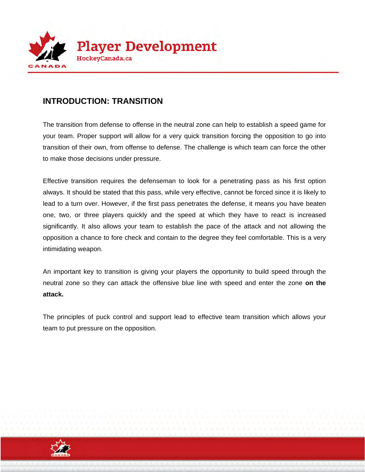

## **INTRODUCTION: TRANSITION**

The transition from defense to offense in the neutral zone can help to establish a speed game for your team. Proper support will allow for a very quick transition forcing the opposition to go into transition of their own, from offense to defense. The challenge is which team can force the other to make those decisions under pressure.

Effective transition requires the defenseman to look for a penetrating pass as his first option always. It should be stated that this pass, while very effective, cannot be forced since it is likely to lead to a turn over. However, if the first pass penetrates the defense, it means you have beaten one, two, or three players quickly and the speed at which they have to react is increased significantly. It also allows your team to establish the pace of the attack and not allowing the opposition a chance to fore check and contain to the degree they feel comfortable. This is a very intimidating weapon.

An important key to transition is giving your players the opportunity to build speed through the neutral zone so they can attack the offensive blue line with speed and enter the zone **on the attack.**

The principles of puck control and support lead to effective team transition which allows your team to put pressure on the opposition.

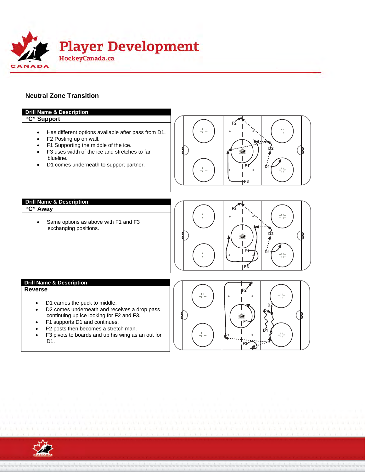

#### **Neutral Zone Transition**



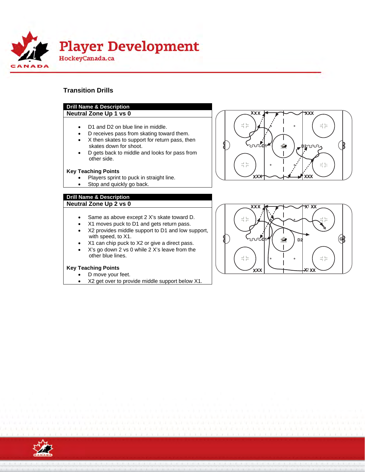

#### **Transition Drills**

#### **Drill Name & Description**

#### **Neutral Zone Up 1 vs 0**

- D1 and D2 on blue line in middle.
- D receives pass from skating toward them.
- X then skates to support for return pass, then skates down for shoot.
- D gets back to middle and looks for pass from other side.

#### **Key Teaching Points**

- Players sprint to puck in straight line.
- Stop and quickly go back.

#### **Drill Name & Description Neutral Zone Up 2 vs 0**

- Same as above except 2 X's skate toward D.
- X1 moves puck to D1 and gets return pass.
- X2 provides middle support to D1 and low support, with speed, to X1.
- X1 can chip puck to X2 or give a direct pass.
- X's go down 2 vs 0 while 2 X's leave from the other blue lines.

#### **Key Teaching Points**

- D move your feet.
- X2 get over to provide middle support below X1.





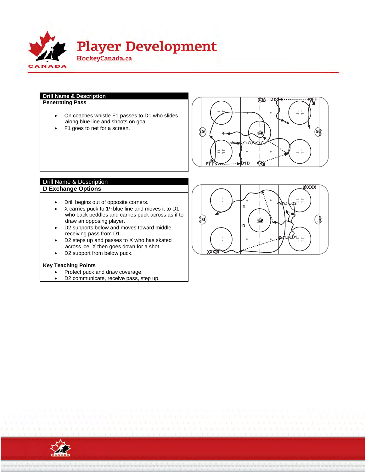

#### **Drill Name & Description**

- On coaches whistle F1 passes to D1 who slides along blue line and shoots on goal.
- F1 goes to net for a screen.



#### Drill Name & Description **D Exchange Options**

- Drill begins out of opposite corners.
- $\bullet$  X carries puck to 1<sup>st</sup> blue line and moves it to D1 who back peddles and carries puck across as if to draw an opposing player.
- D2 supports below and moves toward middle receiving pass from D1.
- D2 steps up and passes to X who has skated across ice, X then goes down for a shot.
- D2 support from below puck.

#### **Key Teaching Points**

- Protect puck and draw coverage.
- D2 communicate, receive pass, step up.



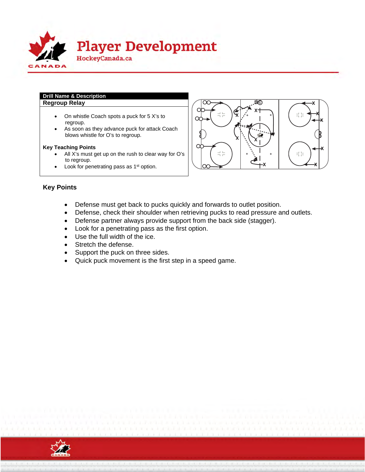

#### **Drill Name & Description Regroup Relay**

- On whistle Coach spots a puck for 5 X's to regroup.
- As soon as they advance puck for attack Coach blows whistle for O's to regroup.

#### **Key Teaching Points**

- All X's must get up on the rush to clear way for O's to regroup.
- Look for penetrating pass as 1<sup>st</sup> option.



#### **Key Points**

- Defense must get back to pucks quickly and forwards to outlet position.
- Defense, check their shoulder when retrieving pucks to read pressure and outlets.
- Defense partner always provide support from the back side (stagger).
- Look for a penetrating pass as the first option.
- Use the full width of the ice.
- Stretch the defense.
- Support the puck on three sides.
- Quick puck movement is the first step in a speed game.

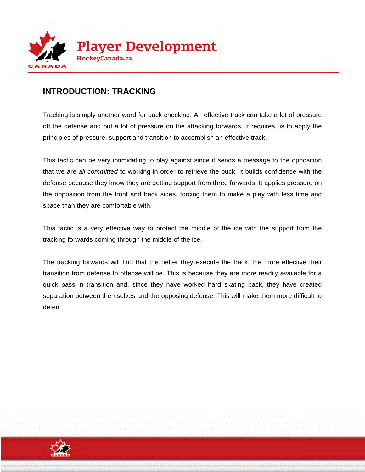

## **INTRODUCTION: TRACKING**

Tracking is simply another word for back checking. An effective track can take a lot of pressure off the defense and put a lot of pressure on the attacking forwards. It requires us to apply the principles of pressure, support and transition to accomplish an effective track.

This tactic can be very intimidating to play against since it sends a message to the opposition that we are *all committed* to working in order to retrieve the puck. It builds confidence with the defense because they know they are getting support from three forwards. It applies pressure on the opposition from the front and back sides, forcing them to make a play with less time and space than they are comfortable with.

This tactic is a very effective way to protect the middle of the ice with the support from the tracking forwards coming through the middle of the ice.

The tracking forwards will find that the better they execute the track, the more effective their transition from defense to offense will be. This is because they are more readily available for a quick pass in transition and, since they have worked hard skating back, they have created separation between themselves and the opposing defense. This will make them more difficult to defen

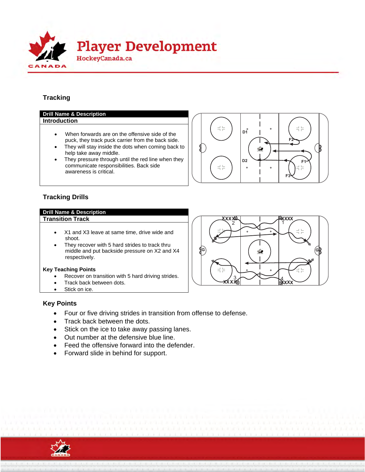

#### **Tracking**

#### **Drill Name & Description Introduction**

- When forwards are on the offensive side of the puck, they track puck carrier from the back side.
- They will stay inside the dots when coming back to help take away middle.
- They pressure through until the red line when they communicate responsibilities. Back side awareness is critical.



#### **Tracking Drills**

#### **Drill Name & Description Transition Track**

- X1 and X3 leave at same time, drive wide and shoot.
- They recover with 5 hard strides to track thru middle and put backside pressure on X2 and X4 respectively.

#### **Key Teaching Points**

- Recover on transition with 5 hard driving strides.
- Track back between dots.
- Stick on ice.



#### **Key Points**

- Four or five driving strides in transition from offense to defense.
- Track back between the dots.
- Stick on the ice to take away passing lanes.
- Out number at the defensive blue line.
- Feed the offensive forward into the defender.
- Forward slide in behind for support.

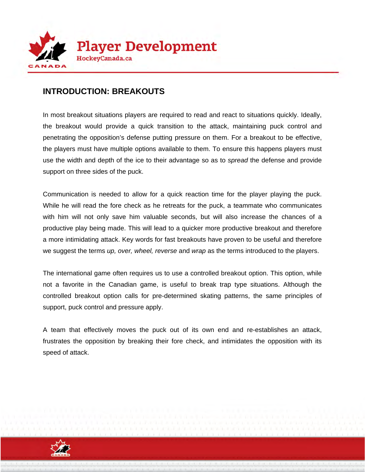

## **INTRODUCTION: BREAKOUTS**

In most breakout situations players are required to read and react to situations quickly. Ideally, the breakout would provide a quick transition to the attack, maintaining puck control and penetrating the opposition's defense putting pressure on them. For a breakout to be effective, the players must have multiple options available to them. To ensure this happens players must use the width and depth of the ice to their advantage so as to *spread* the defense and provide support on three sides of the puck.

Communication is needed to allow for a quick reaction time for the player playing the puck. While he will read the fore check as he retreats for the puck, a teammate who communicates with him will not only save him valuable seconds, but will also increase the chances of a productive play being made. This will lead to a quicker more productive breakout and therefore a more intimidating attack. Key words for fast breakouts have proven to be useful and therefore we suggest the terms *up, over, wheel, reverse* and *wrap* as the terms introduced to the players.

The international game often requires us to use a controlled breakout option. This option, while not a favorite in the Canadian game, is useful to break trap type situations. Although the controlled breakout option calls for pre-determined skating patterns, the same principles of support, puck control and pressure apply.

A team that effectively moves the puck out of its own end and re-establishes an attack, frustrates the opposition by breaking their fore check, and intimidates the opposition with its speed of attack.

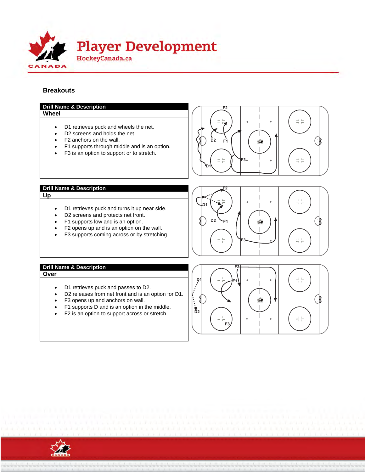

#### **Breakouts**



- F3 opens up and anchors on wall.
- F1 supports D and is an option in the middle.
- F2 is an option to support across or stretch.



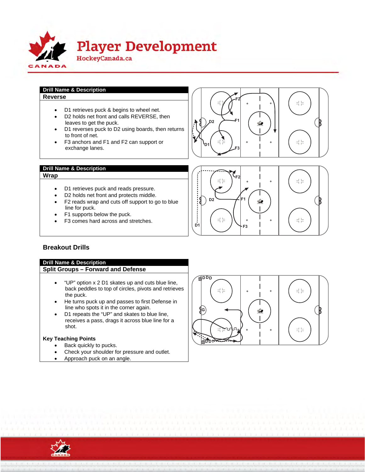

## **Drill Name & Description**

**Reverse** 

- D1 retrieves puck & begins to wheel net.
- D2 holds net front and calls REVERSE, then leaves to get the puck.
- D1 reverses puck to D2 using boards, then returns to front of net.
- F3 anchors and F1 and F2 can support or exchange lanes.





#### **Drill Name & Description**

**Wrap** 

- D1 retrieves puck and reads pressure.
- D2 holds net front and protects middle.
- F2 reads wrap and cuts off support to go to blue line for puck.
- F1 supports below the puck.
- F3 comes hard across and stretches.



#### **Breakout Drills**

#### **Drill Name & Description Split Groups – Forward and Defense**

- "UP" option x 2 D1 skates up and cuts blue line, back peddles to top of circles, pivots and retrieves the puck.
- He turns puck up and passes to first Defense in line who spots it in the corner again.
- D1 repeats the "UP" and skates to blue line, receives a pass, drags it across blue line for a shot.

#### **Key Teaching Points**

- Back quickly to pucks.
- Check your shoulder for pressure and outlet.
- Approach puck on an angle.



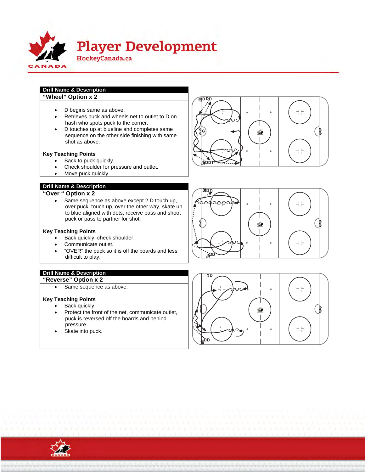

- **Drill Name & Description "Wheel" Option x 2** 
	- D begins same as above.
	- Retrieves puck and wheels net to outlet to D on hash who spots puck to the corner.
	- D touches up at blueline and completes same sequence on the other side finishing with same shot as above.

#### **Key Teaching Points**

- Back to puck quickly.
- Check shoulder for pressure and outlet.
- Move puck quickly.

#### **Drill Name & Description**

## **"Over " Option x 2**

 Same sequence as above except 2 D touch up, over puck, touch up, over the other way, skate up to blue aligned with dots, receive pass and shoot puck or pass to partner for shot.

#### **Key Teaching Points**

- Back quickly, check shoulder.
- Communicate outlet.
- "OVER" the puck so it is off the boards and less difficult to play.

#### **Drill Name & Description**

- **"Reverse" Option x 2** 
	- Same sequence as above.

#### **Key Teaching Points**

- Back quickly.
- Protect the front of the net, communicate outlet, puck is reversed off the boards and behind pressure.
- Skate into puck.







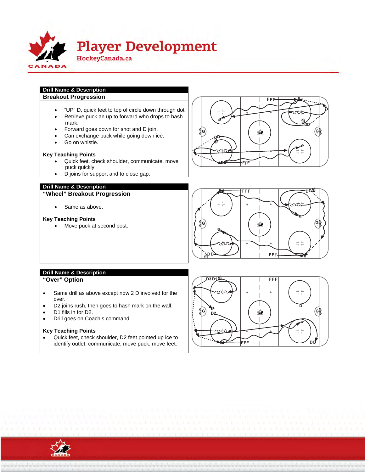

#### **Drill Name & Description Breakout Progression**

- "UP" D, quick feet to top of circle down through dot
- Retrieve puck an up to forward who drops to hash mark.
- Forward goes down for shot and D join.
- Can exchange puck while going down ice.
- Go on whistle.

#### **Key Teaching Points**

- Quick feet, check shoulder, communicate, move puck quickly.
- D joins for support and to close gap.

#### **Drill Name & Description**

**"Wheel" Breakout Progression** 

• Same as above.

#### **Key Teaching Points**

• Move puck at second post.





#### **Drill Name & Description "Over" Option**

- Same drill as above except now 2 D involved for the over.
- D2 joins rush, then goes to hash mark on the wall.
- D1 fills in for D2.
- Drill goes on Coach's command.

#### **Key Teaching Points**

 Quick feet, check shoulder, D2 feet pointed up ice to identify outlet, communicate, move puck, move feet.



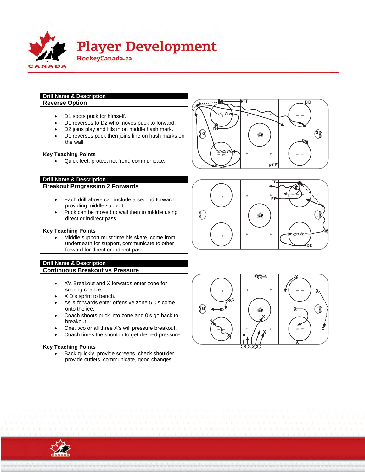

## **Drill Name & Description**

#### **Reverse Option**

- D1 spots puck for himself.
- D1 reverses to D2 who moves puck to forward.
- D2 joins play and fills in on middle hash mark.
- D1 reverses puck then joins line on hash marks on the wall.

#### **Key Teaching Points**

Quick feet, protect net front, communicate.

#### **Drill Name & Description**

**Breakout Progression 2 Forwards** 

- Each drill above can include a second forward providing middle support.
- Puck can be moved to wall then to middle using direct or indirect pass.

#### **Key Teaching Points**

 Middle support must time his skate, come from underneath for support, communicate to other forward for direct or indirect pass.

#### **Drill Name & Description Continuous Breakout vs Pressure**

- X's Breakout and X forwards enter zone for scoring chance.
- X D's sprint to bench.
- As X forwards enter offensive zone 5 0's come onto the ice.
- Coach shoots puck into zone and 0's go back to breakout.
- One, two or all three X's will pressure breakout.
- Coach times the shoot in to get desired pressure.

#### **Key Teaching Points**

 Back quickly, provide screens, check shoulder, provide outlets, communicate, good changes.







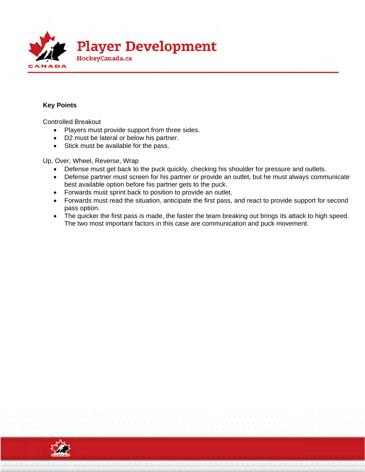

#### **Key Points**

Controlled Breakout

- Players must provide support from three sides.
- D2 must be lateral or below his partner.
- Stick must be available for the pass.

Up, Over, Wheel, Reverse, Wrap

- Defense must get back to the puck quickly, checking his shoulder for pressure and outlets.
- Defense partner must screen for his partner or provide an outlet, but he must always communicate best available option before his partner gets to the puck.
- Forwards must sprint back to position to provide an outlet.
- Forwards must read the situation, anticipate the first pass, and react to provide support for second pass option.
- The quicker the first pass is made, the faster the team breaking out brings its attack to high speed. The two most important factors in this case are communication and puck movement.

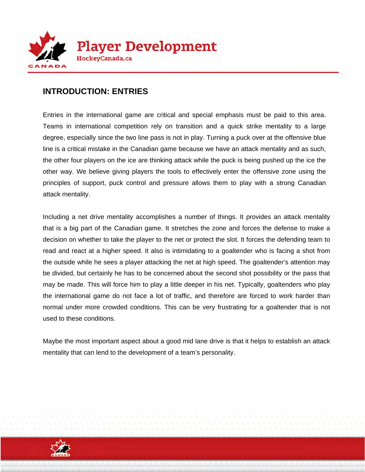

## **INTRODUCTION: ENTRIES**

Entries in the international game are critical and special emphasis must be paid to this area. Teams in international competition rely on transition and a quick strike mentality to a large degree, especially since the two line pass is not in play. Turning a puck over at the offensive blue line is a critical mistake in the Canadian game because we have an attack mentality and as such, the other four players on the ice are thinking attack while the puck is being pushed up the ice the other way. We believe giving players the tools to effectively enter the offensive zone using the principles of support, puck control and pressure allows them to play with a strong Canadian attack mentality.

Including a net drive mentality accomplishes a number of things. It provides an attack mentality that is a big part of the Canadian game. It stretches the zone and forces the defense to make a decision on whether to take the player to the net or protect the slot. It forces the defending team to read and react at a higher speed. It also is intimidating to a goaltender who is facing a shot from the outside while he sees a player attacking the net at high speed. The goaltender's attention may be divided, but certainly he has to be concerned about the second shot possibility or the pass that may be made. This will force him to play a little deeper in his net. Typically, goaltenders who play the international game do not face a lot of traffic, and therefore are forced to work harder than normal under more crowded conditions. This can be very frustrating for a goaltender that is not used to these conditions.

Maybe the most important aspect about a good mid lane drive is that it helps to establish an attack mentality that can lend to the development of a team's personality.

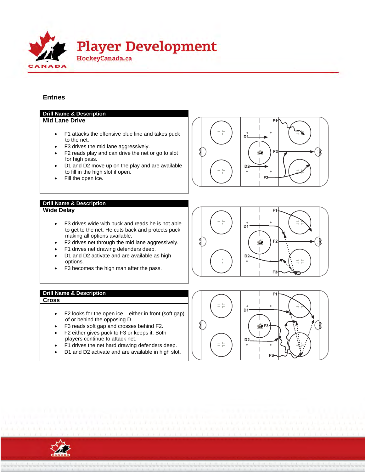

#### **Entries**

#### **Drill Name & Description Mid Lane Drive**   $F1$  $=$  $=$  F1 attacks the offensive blue line and takes puck D1 to the net. F3 drives the mid lane aggressively. **-**3 F2 reads play and can drive the net or go to slot for high pass. D1 and D2 move up on the play and are available D<sub>2</sub>  $\frac{1}{2}$  $\frac{1}{2}$ to fill in the high slot if open. Fill the open ice. **-** $\overline{2}$ **Drill Name & Description Wide Delay -**  $\frac{1}{1}$  $\frac{1}{1}$  F3 drives wide with puck and reads he is not able D1 to get to the net. He cuts back and protects puck making all options available.  $F2$  F2 drives net through the mid lane aggressively. ó, F1 drives net drawing defenders deep. • D1 and D2 activate and are available as high D<sub>2</sub> 로는 options.

F3 becomes the high man after the pass.

#### **Drill Name & Description -**

#### **Cross**

- $\bullet$  F2 looks for the open ice either in front (soft gap) of or behind the opposing D.
- F3 reads soft gap and crosses behind F2.
- F2 either gives puck to F3 or keeps it. Both players continue to attack net.
- F1 drives the net hard drawing defenders deep.
- D1 and D2 activate and are available in high slot.



 $F3$ 

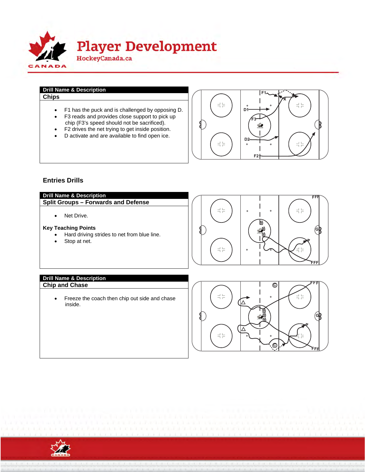

## **Drill Name & Description**

- F1 has the puck and is challenged by opposing D.
- F3 reads and provides close support to pick up chip (F3's speed should not be sacrificed).
- F2 drives the net trying to get inside position.
- D activate and are available to find open ice.



#### **Entries Drills**

#### **Drill Name & Description -**

**Split Groups – Forwards and Defense** 

Net Drive.

#### **Key Teaching Points**

- Hard driving strides to net from blue line.
- Stop at net.



## **Drill Name & Description**

 Freeze the coach then chip out side and chase inside.



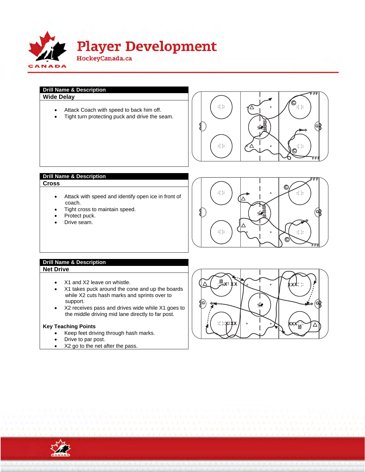

**Drill Name & Description -Wide Delay**

- Attack Coach with speed to back him off.
- Tight turn protecting puck and drive the seam.



#### **Drill Name & Description -**

#### **Cross**

- Attack with speed and identify open ice in front of coach.
- Tight cross to maintain speed.
- Protect puck.
- Drive seam.



#### **Drill Name & Description Net Drive**

- X1 and X2 leave on whistle.
- X1 takes puck around the cone and up the boards while X2 cuts hash marks and sprints over to support.
- X2 receives pass and drives wide while X1 goes to the middle driving mid lane directly to far post.

#### **Key Teaching Points**

- Keep feet driving through hash marks.
- Drive to par post.
- X2 go to the net after the pass.



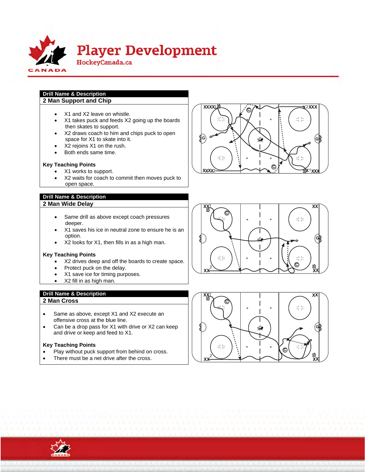

#### **Drill Name & Description 2 Man Support and Chip**

- X1 and X2 leave on whistle.
- X1 takes puck and feeds X2 going up the boards then skates to support.
- X2 draws coach to him and chips puck to open space for X1 to skate into it.
- X2 rejoins X1 on the rush.
- Both ends same time.

#### **Key Teaching Points**

- X1 works to support.
- X2 waits for coach to commit then moves puck to open space.

#### **Drill Name & Description**

#### **2 Man Wide Dela y**

- Same drill as above except coach pressures deeper.
- X1 saves his ice in neutral zone to ensure he is an option.
- X2 looks for X1, then fills in as a high man.

#### **Key Teaching Points**

- X2 drives deep and off the boards to create space.
- Protect puck on the delay.
- X1 save ice for timing purposes.
- X2 fill in as high man.
- **Drill Name & Description**

#### **2 Man Cross**

- Same as above, except X1 and X2 execute an offensive cross at the blue line.
- Can be a drop pass for X1 with drive or X2 can keep and drive or keep and feed to X1.

#### **Key Teaching Points**

- Play without puck support from behind on cross.
- There must be a net drive after the cross.







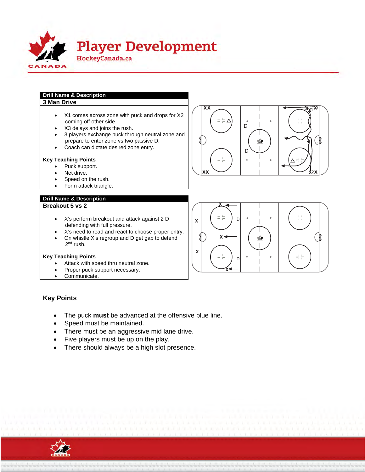

## **Drill Name & Description**

#### **3 Man Drive**

- X1 comes across zone with puck and drops for X2 coming off other side.
- X3 delays and joins the rush.
- 3 players exchange puck through neutral zone and prepare to enter zone vs two passive D.
- Coach can dictate desired zone entry.

#### **Key Teaching Points**

- Puck support.
- Net drive.
- Speed on the rush.
- Form attack triangle.

#### **Drill Name & Description**

#### **Breakout 5 vs 2**

- X's perform breakout and attack against 2 D defending with full pressure.
- X's need to read and react to choose proper entry.
- On whistle X's regroup and D get gap to defend 2<sup>nd</sup> rush.

#### **Key Teaching Points**

- Attack with speed thru neutral zone.
- Proper puck support necessary.
- Communicate.

#### **Key Points**

- The puck **must** be advanced at the offensive blue line.
- Speed must be maintained.
- There must be an aggressive mid lane drive.
- Five players must be up on the play.
- There should always be a high slot presence.





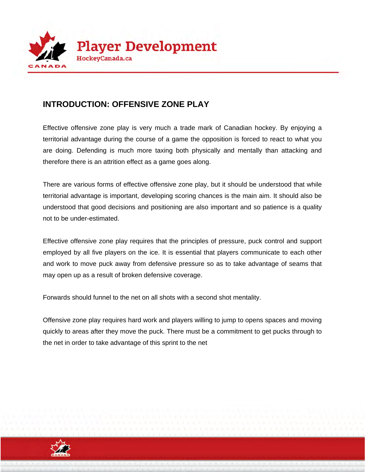

## **INTRODUCTION: OFFENSIVE ZONE PLAY**

Effective offensive zone play is very much a trade mark of Canadian hockey. By enjoying a territorial advantage during the course of a game the opposition is forced to react to what you are doing. Defending is much more taxing both physically and mentally than attacking and therefore there is an attrition effect as a game goes along.

There are various forms of effective offensive zone play, but it should be understood that while territorial advantage is important, developing scoring chances is the main aim. It should also be understood that good decisions and positioning are also important and so patience is a quality not to be under-estimated.

Effective offensive zone play requires that the principles of pressure, puck control and support employed by all five players on the ice. It is essential that players communicate to each other and work to move puck away from defensive pressure so as to take advantage of seams that may open up as a result of broken defensive coverage.

Forwards should funnel to the net on all shots with a second shot mentality.

Offensive zone play requires hard work and players willing to jump to opens spaces and moving quickly to areas after they move the puck. There must be a commitment to get pucks through to the net in order to take advantage of this sprint to the net

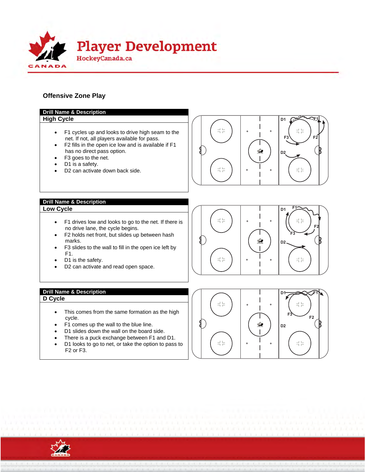

#### **Offensive Zone Play**



![](_page_37_Picture_3.jpeg)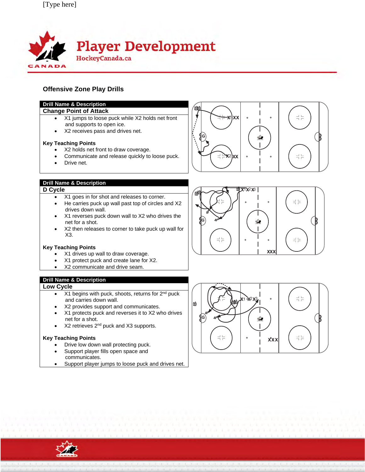![](_page_38_Picture_1.jpeg)

#### **Offensive Zone Play Drills**

#### **Drill Name & Description**

#### **Change Point of Attack**

- X1 jumps to loose puck while X2 holds net front and supports to open ice.
- X2 receives pass and drives net.

#### **Key Teaching Points**

- X2 holds net front to draw coverage.
- Communicate and release quickly to loose puck.
- Drive net.

#### **Drill Name & Description**

#### **D Cycle**

- X1 goes in for shot and releases to corner.
- He carries puck up wall past top of circles and X2 drives down wall.
- X1 reverses puck down wall to X2 who drives the net for a shot.
- X2 then releases to corner to take puck up wall for X3.

#### **Key Teaching Points**

- X1 drives up wall to draw coverage.
- X1 protect puck and create lane for X2.
- X2 communicate and drive seam.

#### **Drill Name & Description**

#### **Low Cycle**

- $X1$  begins with puck, shoots, returns for  $2<sup>nd</sup>$  puck and carries down wall.
- X2 provides support and communicates.
- X1 protects puck and reverses it to X2 who drives net for a shot.
- $\bullet$  X2 retrieves 2<sup>nd</sup> puck and X3 supports.

#### **Key Teaching Points**

- Drive low down wall protecting puck.
- Support player fills open space and communicates.
- Support player jumps to loose puck and drives net.

![](_page_38_Figure_31.jpeg)

![](_page_38_Figure_32.jpeg)

![](_page_38_Figure_33.jpeg)

![](_page_38_Picture_34.jpeg)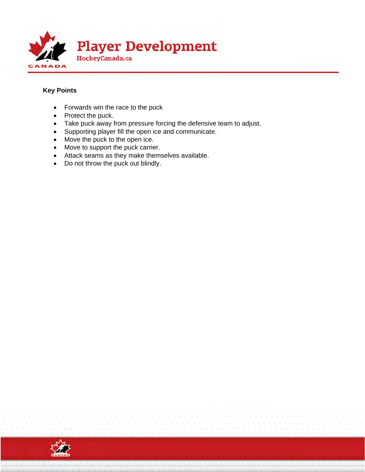![](_page_39_Picture_0.jpeg)

#### **Key Points**

- Forwards win the race to the puck
- Protect the puck.
- Take puck away from pressure forcing the defensive team to adjust.
- Supporting player fill the open ice and communicate.
- Move the puck to the open ice.
- Move to support the puck carrier.
- Attack seams as they make themselves available.
- Do not throw the puck out blindly.

![](_page_39_Picture_10.jpeg)

![](_page_39_Picture_11.jpeg)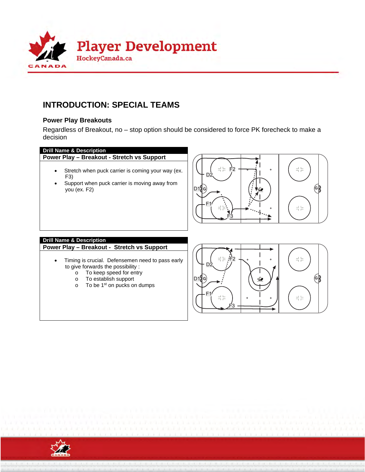![](_page_40_Picture_0.jpeg)

## **INTRODUCTION: SPECIAL TEAMS**

#### **Power Play Breakouts**

Regardless of Breakout, no – stop option should be considered to force PK forecheck to make a decision

#### **Drill Name & Description**

**Power Play – Breakout - Stretch vs Support** 

- Stretch when puck carrier is coming your way (ex. F3)
- Support when puck carrier is moving away from you (ex. F2)

![](_page_40_Figure_8.jpeg)

#### **Drill Name & Description**

**Power Play – Breakout - Stretch vs Support** 

- Timing is crucial. Defensemen need to pass early to give forwards the possibility :
	- o To keep speed for entry
	- o To establish support
	- o To be 1st on pucks on dumps

![](_page_40_Figure_15.jpeg)

![](_page_40_Picture_16.jpeg)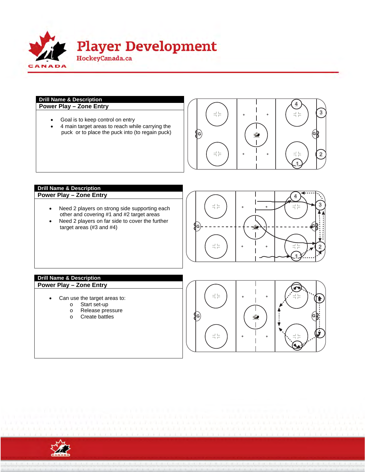![](_page_41_Picture_0.jpeg)

## **Drill Name & Description**

- Goal is to keep control on entry
- 4 main target areas to reach while carrying the puck or to place the puck into (to regain puck)

![](_page_41_Figure_5.jpeg)

## **Drill Name & Description**

- Need 2 players on strong side supporting each other and covering #1 and #2 target areas
- Need 2 players on far side to cover the further target areas (#3 and #4)

![](_page_41_Figure_9.jpeg)

#### **Drill Name & Description Power Play – Zone Entry**

- Can use the target areas to:
	- o Start set-up<br>o Release pre
	- Release pressure
	- o Create battles

![](_page_41_Figure_15.jpeg)

![](_page_41_Picture_16.jpeg)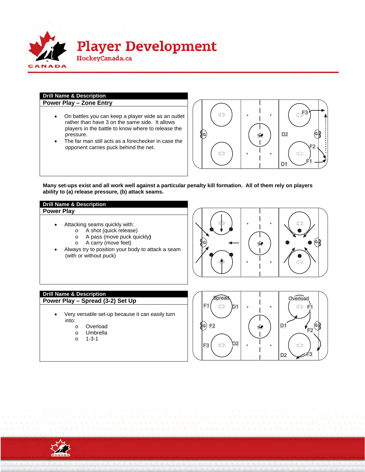![](_page_42_Picture_0.jpeg)

## **Drill Name & Description**

**Power Play – Zone Entry**

- On battles you can keep a player wide as an outlet rather than have 3 on the same side. It allows players in the battle to know where to release the pressure.
- The far man still acts as a forechecker in case the opponent carries puck behind the net.

![](_page_42_Figure_5.jpeg)

**Many set-ups exist and all work well against a particular penalty kill formation. All of them rely on players ability to (a) release pressure, (b) attack seams.** 

#### **Drill Name & Description Power Play**

- Attacking seams quickly with:
	- o A shot (quick release)
	- o A pass (move puck quickly**)**
	- o A carry (move feet)
- Always try to position your body to attack a seam (with or without puck)

![](_page_42_Figure_13.jpeg)

## **Drill Name & Description**

**Power Play – Spread (3-2) Set Up**  $\left| \begin{array}{c} \left| \begin{array}{c} \end{array} \right| \end{array} \right| = 1$ 

- Very versatile set-up because it can easily turn into:
	- o Overload
	- o Umbrella
	- o 1-3-1

![](_page_42_Picture_20.jpeg)

![](_page_42_Picture_21.jpeg)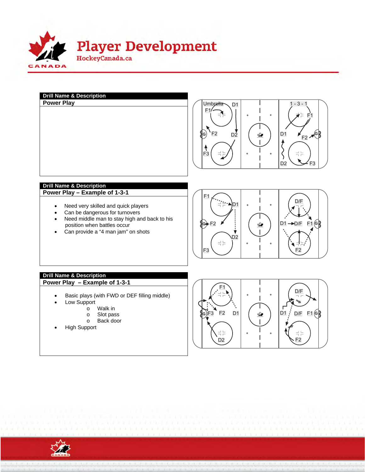![](_page_43_Picture_0.jpeg)

![](_page_43_Figure_1.jpeg)

![](_page_43_Picture_2.jpeg)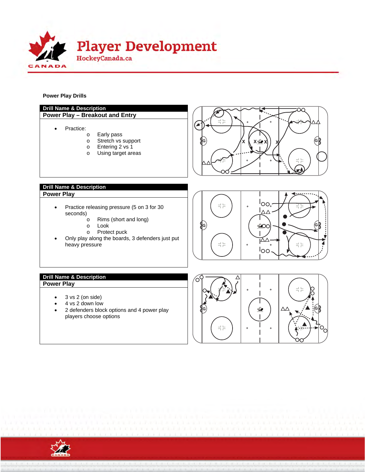![](_page_44_Picture_0.jpeg)

**Power Play Drills** 

![](_page_44_Figure_2.jpeg)

![](_page_44_Picture_3.jpeg)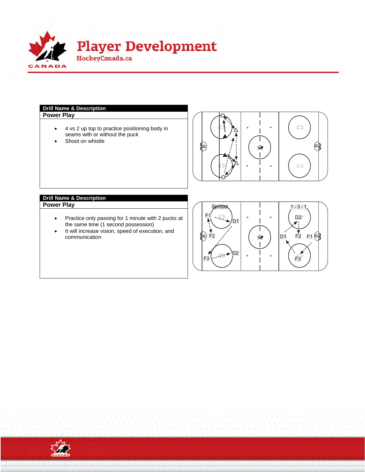![](_page_45_Picture_0.jpeg)

## **Drill Name & Description**

**Power Play** 

- 4 vs 2 up top to practice positioning body in seams with or without the puck
- Shoot on whistle

![](_page_45_Picture_5.jpeg)

#### **Drill Name & Description Power Play**

- Practice only passing for 1 minute with 2 pucks at the same time (1 second possession)
- $\bullet$  It will increase vision, speed of execution, and communication

![](_page_45_Figure_9.jpeg)

![](_page_45_Picture_10.jpeg)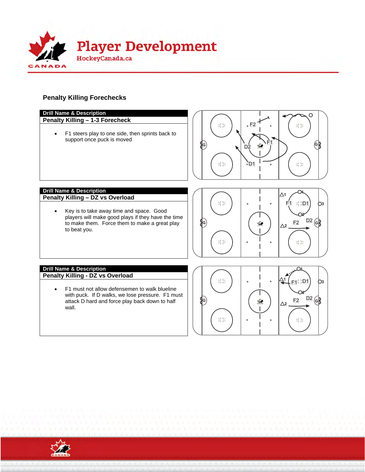![](_page_46_Picture_0.jpeg)

## **Penalty Killing Forechecks**

![](_page_46_Figure_2.jpeg)

![](_page_46_Picture_3.jpeg)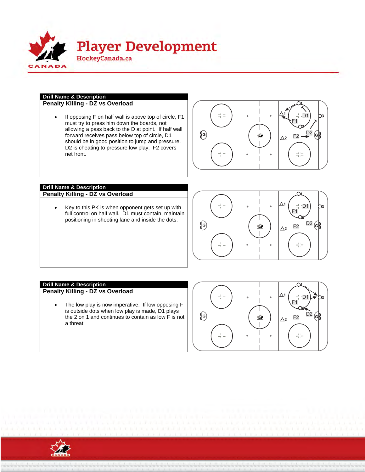![](_page_47_Picture_0.jpeg)

#### **Drill Name & Description Penalty Killing - DZ vs Overload**

• If opposing F on half wall is above top of circle, F1 must try to press him down the boards, not allowing a pass back to the D at point. If half wall forward receives pass below top of circle, D1 should be in good position to jump and pressure. D2 is cheating to pressure low play. F2 covers net front.

![](_page_47_Figure_4.jpeg)

#### **Drill Name & Description Penalty Killing - DZ vs Overload**

• Key to this PK is when opponent gets set up with full control on half wall. D1 must contain, maintain positioning in shooting lane and inside the dots.

![](_page_47_Figure_8.jpeg)

#### **Drill Name & Description**

**Penalty Killing - DZ vs Overload** 

• The low play is now imperative. If low opposing F is outside dots when low play is made, D1 plays the 2 on 1 and continues to contain as low F is not a threat.

![](_page_47_Figure_12.jpeg)

![](_page_47_Picture_13.jpeg)